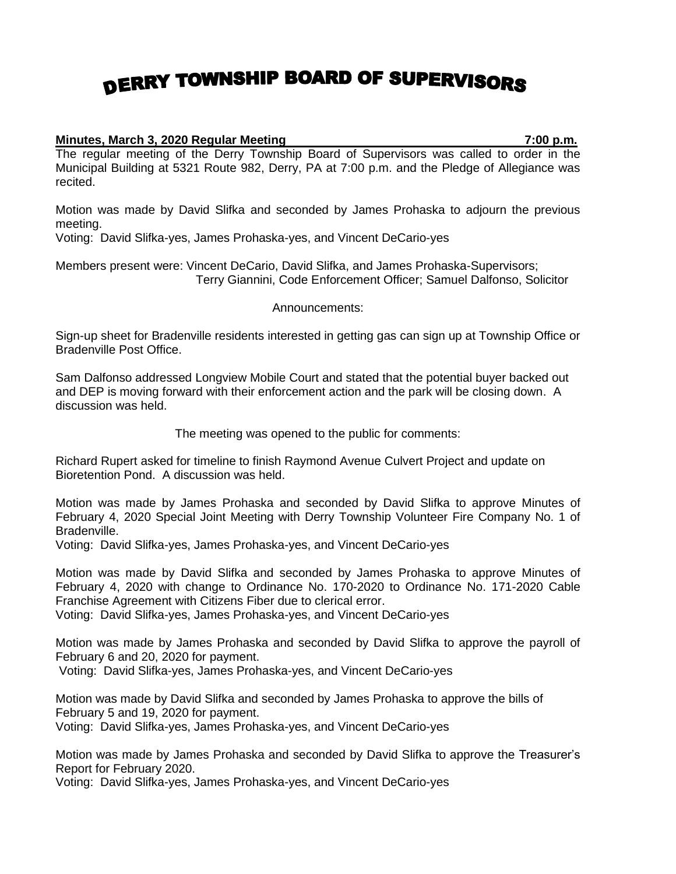## DERRY TOWNSHIP BOARD OF SUPERVISORS

## **Minutes, March 3, 2020 Regular Meeting 7:00 p.m.**

The regular meeting of the Derry Township Board of Supervisors was called to order in the Municipal Building at 5321 Route 982, Derry, PA at 7:00 p.m. and the Pledge of Allegiance was recited.

Motion was made by David Slifka and seconded by James Prohaska to adjourn the previous meeting.

Voting: David Slifka-yes, James Prohaska-yes, and Vincent DeCario-yes

Members present were: Vincent DeCario, David Slifka, and James Prohaska-Supervisors; Terry Giannini, Code Enforcement Officer; Samuel Dalfonso, Solicitor

Announcements:

Sign-up sheet for Bradenville residents interested in getting gas can sign up at Township Office or Bradenville Post Office.

Sam Dalfonso addressed Longview Mobile Court and stated that the potential buyer backed out and DEP is moving forward with their enforcement action and the park will be closing down. A discussion was held.

The meeting was opened to the public for comments:

Richard Rupert asked for timeline to finish Raymond Avenue Culvert Project and update on Bioretention Pond. A discussion was held.

Motion was made by James Prohaska and seconded by David Slifka to approve Minutes of February 4, 2020 Special Joint Meeting with Derry Township Volunteer Fire Company No. 1 of Bradenville.

Voting: David Slifka-yes, James Prohaska-yes, and Vincent DeCario-yes

Motion was made by David Slifka and seconded by James Prohaska to approve Minutes of February 4, 2020 with change to Ordinance No. 170-2020 to Ordinance No. 171-2020 Cable Franchise Agreement with Citizens Fiber due to clerical error.

Voting: David Slifka-yes, James Prohaska-yes, and Vincent DeCario-yes

Motion was made by James Prohaska and seconded by David Slifka to approve the payroll of February 6 and 20, 2020 for payment.

Voting: David Slifka-yes, James Prohaska-yes, and Vincent DeCario-yes

Motion was made by David Slifka and seconded by James Prohaska to approve the bills of February 5 and 19, 2020 for payment.

Voting: David Slifka-yes, James Prohaska-yes, and Vincent DeCario-yes

Motion was made by James Prohaska and seconded by David Slifka to approve the Treasurer's Report for February 2020.

Voting: David Slifka-yes, James Prohaska-yes, and Vincent DeCario-yes